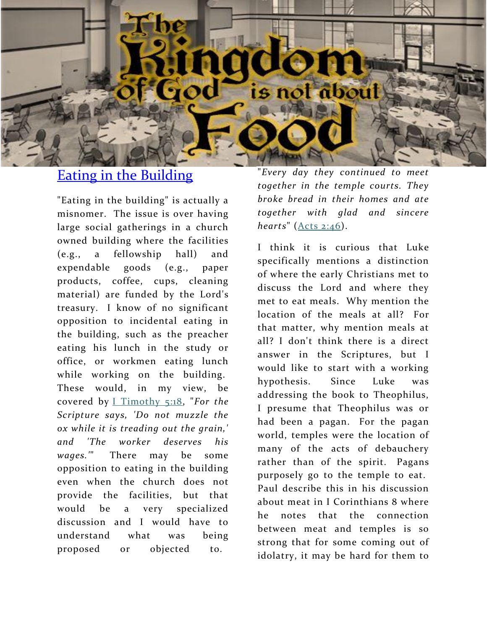

# [Eating in the Building](http://lavistachurchofchrist.org/LVanswers/2008/01-12c.html)

"Eating in the building" is actually a misnomer. The issue is over having large social gatherings in a church owned building where the facilities (e.g., a fellowship hall) and expendable goods (e.g., paper products, coffee, cups, cleaning material) are funded by the Lord's treasury. I know of no significant opposition to incidental eating in the building, such as the preacher eating his lunch in the study or office, or workmen eating lunch while working on the building. These would, in my view, be covered by [I Timothy 5:18,](http://biblia.com/bible/nkjv/I%20Timothy%205.18) "*For the Scripture says, 'Do not muzzle the ox while it is treading out the grain,' and 'The worker deserves his wages.'*" There may be some opposition to eating in the building even when the church does not provide the facilities, but that would be a very specialized discussion and I would have to understand what was being proposed or objected to.

"*Every day they continued to meet together in the temple courts. They broke bread in their homes and ate together with glad and sincere hearts*" [\(Acts 2:46\)](http://biblia.com/bible/nkjv/Acts%202.46).

I think it is curious that Luke specifically mentions a distinction of where the early Christians met to discuss the Lord and where they met to eat meals. Why mention the location of the meals at all? For that matter, why mention meals at all? I don't think there is a direct answer in the Scriptures, but I would like to start with a working hypothesis. Since Luke was addressing the book to Theophilus, I presume that Theophilus was or had been a pagan. For the pagan world, temples were the location of many of the acts of debauchery rather than of the spirit. Pagans purposely go to the temple to eat. Paul describe this in his discussion about meat in I Corinthians 8 where he notes that the connection between meat and temples is so strong that for some coming out of idolatry, it may be hard for them to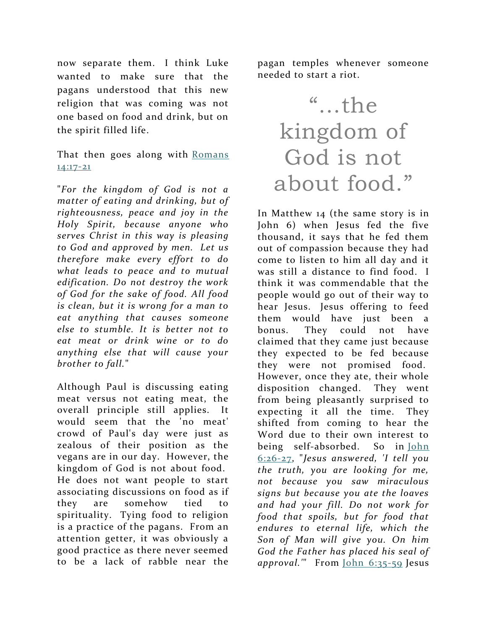now separate them. I think Luke wanted to make sure that the pagans understood that this new religion that was coming was not one based on food and drink, but on the spirit filled life.

That then goes along with Romans [14:17-21](http://biblia.com/bible/nkjv/Romans%2014.17-21)

"*For the kingdom of God is not a matter of eating and drinking, but of righteousness, peace and joy in the Holy Spirit, because anyone who serves Christ in this way is pleasing to God and approved by men. Let us therefore make every effort to do what leads to peace and to mutual edification. Do not destroy the work of God for the sake of food. All food is clean, but it is wrong for a man to eat anything that causes someone else to stumble. It is better not to eat meat or drink wine or to do anything else that will cause your brother to fall.*"

Although Paul is discussing eating meat versus not eating meat, the overall principle still applies. It would seem that the 'no meat' crowd of Paul's day were just as zealous of their position as the vegans are in our day. However, the kingdom of God is not about food. He does not want people to start associating discussions on food as if they are somehow tied to spirituality. Tying food to religion is a practice of the pagans. From an attention getter, it was obviously a good practice as there never seemed to be a lack of rabble near the

pagan temples whenever someone needed to start a riot.

# "…the kingdom of God is not about food."

In Matthew 14 (the same story is in John 6) when Jesus fed the five thousand, it says that he fed them out of compassion because they had come to listen to him all day and it was still a distance to find food. I think it was commendable that the people would go out of their way to hear Jesus. Jesus offering to feed them would have just been a bonus. They could not have claimed that they came just because they expected to be fed because they were not promised food. However, once they ate, their whole disposition changed. They went from being pleasantly surprised to expecting it all the time. They shifted from coming to hear the Word due to their own interest to being self-absorbed. So in [John](http://biblia.com/bible/nkjv/John%206.26-27)  [6:26-27,](http://biblia.com/bible/nkjv/John%206.26-27) "*Jesus answered, 'I tell you the truth, you are looking for me, not because you saw miraculous signs but because you ate the loaves and had your fill. Do not work for food that spoils, but for food that endures to eternal life, which the Son of Man will give you. On him God the Father has placed his seal of approval.'*" From [John 6:35-59](http://biblia.com/bible/nkjv/John%206.35-59) Jesus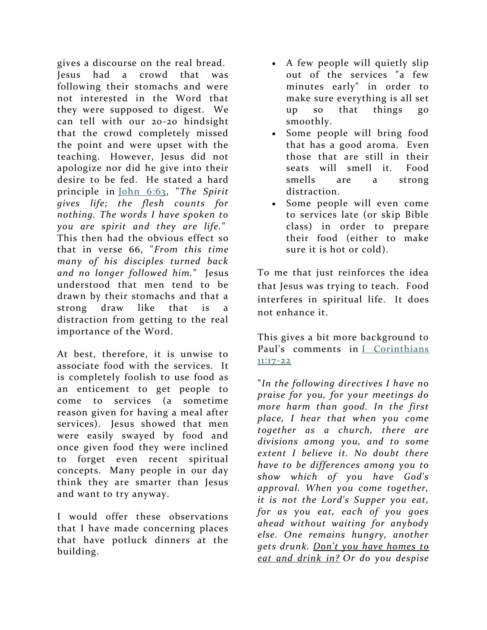gives a discourse on the real bread. Jesus had a crowd that was following their stomachs and were not interested in the Word that they were supposed to digest. We can tell with our 20-20 hindsight that the crowd completely missed the point and were upset with the teaching. However, Jesus did not apologize nor did he give into their desire to be fed. He stated a hard principle in [John 6:63,](http://biblia.com/bible/nkjv/John%206.63) "*The Spirit gives life; the flesh counts for nothing. The words I have spoken to you are spirit and they are life.*" This then had the obvious effect so that in verse 66, "*From this time many of his disciples turned back and no longer followed him.*" Jesus understood that men tend to be drawn by their stomachs and that a strong draw like that is a distraction from getting to the real importance of the Word.

At best, therefore, it is unwise to associate food with the services. It is completely foolish to use food as an enticement to get people to come to services (a sometime reason given for having a meal after services). Jesus showed that men were easily swayed by food and once given food they were inclined to forget even recent spiritual concepts. Many people in our day think they are smarter than Jesus and want to try anyway.

I would offer these observations that I have made concerning places that have potluck dinners at the building.

- A few people will quietly slip out of the services "a few minutes early" in order to make sure everything is all set up so that things go smoothly.
- Some people will bring food that has a good aroma. Even those that are still in their seats will smell it. Food smells are a strong distraction.
- Some people will even come to services late (or skip Bible class) in order to prepare their food (either to make sure it is hot or cold).

To me that just reinforces the idea that Jesus was trying to teach. Food interferes in spiritual life. It does not enhance it.

This gives a bit more background to Paul's comments in [I Corinthians](http://biblia.com/bible/nkjv/I%20Corinthians%2011.17-22)  [11:17-22](http://biblia.com/bible/nkjv/I%20Corinthians%2011.17-22)

"*In the following directives I have no praise for you, for your meetings do more harm than good. In the first place, I hear that when you come together as a church, there are divisions among you, and to some extent I believe it. No doubt there have to be differences among you to show which of you have God's approval. When you come together, it is not the Lord's Supper you eat, for as you eat, each of you goes ahead without waiting for anybody else. One remains hungry, another gets drunk. Don't you have homes to eat and drink in? Or do you despise*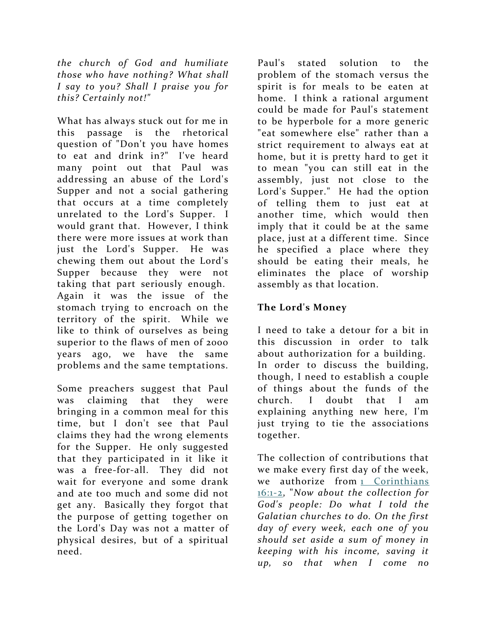*the church of God and humiliate those who have nothing? What shall I say to you? Shall I praise you for this? Certainly not!"*

What has always stuck out for me in this passage is the rhetorical question of "Don't you have homes to eat and drink in?" I've heard many point out that Paul was addressing an abuse of the Lord's Supper and not a social gathering that occurs at a time completely unrelated to the Lord's Supper. I would grant that. However, I think there were more issues at work than just the Lord's Supper. He was chewing them out about the Lord's Supper because they were not taking that part seriously enough. Again it was the issue of the stomach trying to encroach on the territory of the spirit. While we like to think of ourselves as being superior to the flaws of men of 2000 years ago, we have the same problems and the same temptations.

Some preachers suggest that Paul was claiming that they were bringing in a common meal for this time, but I don't see that Paul claims they had the wrong elements for the Supper. He only suggested that they participated in it like it was a free-for-all. They did not wait for everyone and some drank and ate too much and some did not get any. Basically they forgot that the purpose of getting together on the Lord's Day was not a matter of physical desires, but of a spiritual need.

Paul's stated solution to the problem of the stomach versus the spirit is for meals to be eaten at home. I think a rational argument could be made for Paul's statement to be hyperbole for a more generic "eat somewhere else" rather than a strict requirement to always eat at home, but it is pretty hard to get it to mean "you can still eat in the assembly, just not close to the Lord's Supper." He had the option of telling them to just eat at another time, which would then imply that it could be at the same place, just at a different time. Since he specified a place where they should be eating their meals, he eliminates the place of worship assembly as that location.

#### **The Lord's Money**

I need to take a detour for a bit in this discussion in order to talk about authorization for a building. In order to discuss the building, though, I need to establish a couple of things about the funds of the church. I doubt that I am explaining anything new here, I'm just trying to tie the associations together.

The collection of contributions that we make every first day of the week, we authorize from 1 Corinthians [16:1-2,](http://biblia.com/bible/nkjv/1%20Corinthians%2016.1-2) "*Now about the collection for God's people: Do what I told the Galatian churches to do. On the first day of every week, each one of you should set aside a sum of money in keeping with his income, saving it up, so that when I come no*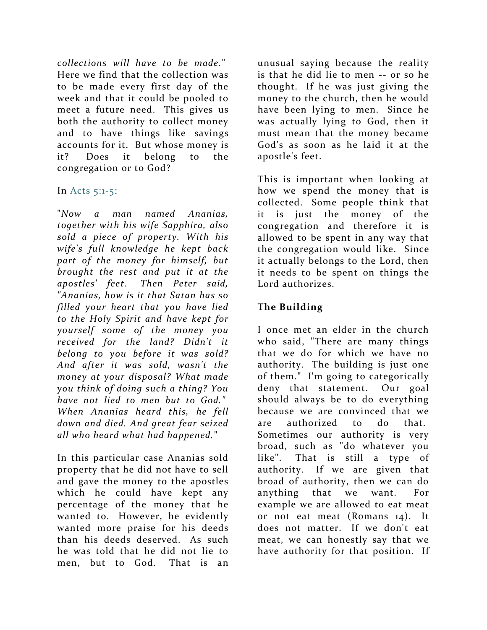*collections will have to be made.*" Here we find that the collection was to be made every first day of the week and that it could be pooled to meet a future need. This gives us both the authority to collect money and to have things like savings accounts for it. But whose money is it? Does it belong to the congregation or to God?

#### In Acts  $5:1-5$ :

"*Now a man named Ananias, together with his wife Sapphira, also sold a piece of property. With his wife's full knowledge he kept back part of the money for himself, but brought the rest and put it at the apostles' feet. Then Peter said, "Ananias, how is it that Satan has so filled your heart that you have lied to the Holy Spirit and have kept for yourself some of the money you received for the land? Didn't it belong to you before it was sold? And after it was sold, wasn't the money at your disposal? What made you think of doing such a thing? You have not lied to men but to God." When Ananias heard this, he fell down and died. And great fear seized all who heard what had happened.*"

In this particular case Ananias sold property that he did not have to sell and gave the money to the apostles which he could have kept any percentage of the money that he wanted to. However, he evidently wanted more praise for his deeds than his deeds deserved. As such he was told that he did not lie to men, but to God. That is an unusual saying because the reality is that he did lie to men -- or so he thought. If he was just giving the money to the church, then he would have been lying to men. Since he was actually lying to God, then it must mean that the money became God's as soon as he laid it at the apostle's feet.

This is important when looking at how we spend the money that is collected. Some people think that it is just the money of the congregation and therefore it is allowed to be spent in any way that the congregation would like. Since it actually belongs to the Lord, then it needs to be spent on things the Lord authorizes.

## **The Building**

I once met an elder in the church who said, "There are many things that we do for which we have no authority. The building is just one of them." I'm going to categorically deny that statement. Our goal should always be to do everything because we are convinced that we are authorized to do that. Sometimes our authority is very broad, such as "do whatever you like". That is still a type of authority. If we are given that broad of authority, then we can do anything that we want. For example we are allowed to eat meat or not eat meat (Romans 14). It does not matter. If we don't eat meat, we can honestly say that we have authority for that position. If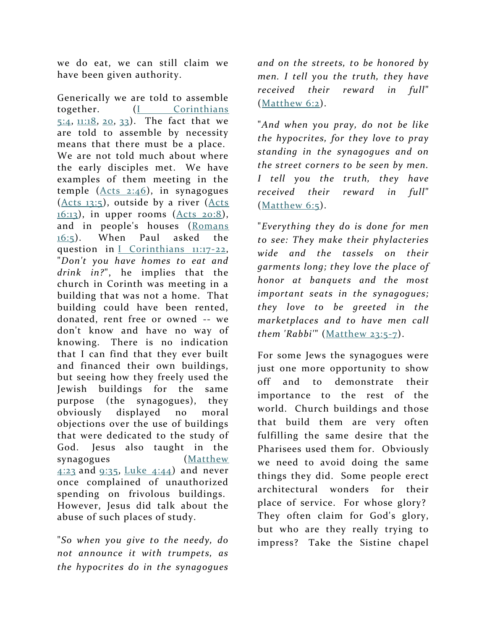we do eat, we can still claim we have been given authority.

Generically we are told to assemble together. (*I* Corinthians [5:4,](http://biblia.com/bible/nkjv/I%20Corinthians%205.4)  $\frac{11:18}{20}$ ,  $\frac{20}{33}$ . The fact that we are told to assemble by necessity means that there must be a place. We are not told much about where the early disciples met. We have examples of them meeting in the temple  $(Acts_2:46)$ , in synagogues [\(Acts 13:5\)](http://biblia.com/bible/nkjv/Acts%2013.5), outside by a river [\(Acts](http://biblia.com/bible/nkjv/Acts%2016.13)   $16:13$ ), in upper rooms [\(Acts 20:8\)](http://biblia.com/bible/nkjv/Acts%2020.8), and in people's houses [\(Romans](http://biblia.com/bible/nkjv/Romans%2016.5)  [16:5\)](http://biblia.com/bible/nkjv/Romans%2016.5). When Paul asked the question in [I Corinthians 11:17-22,](http://biblia.com/bible/nkjv/I%20Corinthians%2011.17-22) "*Don't you have homes to eat and drink in?*", he implies that the church in Corinth was meeting in a building that was not a home. That building could have been rented, donated, rent free or owned -- we don't know and have no way of knowing. There is no indication that I can find that they ever built and financed their own buildings, but seeing how they freely used the Jewish buildings for the same purpose (the synagogues), they obviously displayed no moral objections over the use of buildings that were dedicated to the study of God. Jesus also taught in the synagogues (Matthew  $4:23$  and  $9:35$ , Luke  $4:44$ ) and never once complained of unauthorized spending on frivolous buildings. However, Jesus did talk about the abuse of such places of study.

"*So when you give to the needy, do not announce it with trumpets, as the hypocrites do in the synagogues* 

*and on the streets, to be honored by men. I tell you the truth, they have received their reward in full*" [\(Matthew 6:2\)](http://biblia.com/bible/nkjv/Matthew%206.2).

"*And when you pray, do not be like the hypocrites, for they love to pray standing in the synagogues and on the street corners to be seen by men. I tell you the truth, they have received their reward in full*"  $(Mat$ hew  $6:5)$ .

"*Everything they do is done for men to see: They make their phylacteries wide and the tassels on their garments long; they love the place of honor at banquets and the most important seats in the synagogues; they love to be greeted in the marketplaces and to have men call them 'Rabbi'*" [\(Matthew 23:5-7\)](http://biblia.com/bible/nkjv/Matthew%2023.5-7).

For some Jews the synagogues were just one more opportunity to show off and to demonstrate their importance to the rest of the world. Church buildings and those that build them are very often fulfilling the same desire that the Pharisees used them for. Obviously we need to avoid doing the same things they did. Some people erect architectural wonders for their place of service. For whose glory? They often claim for God's glory, but who are they really trying to impress? Take the Sistine chapel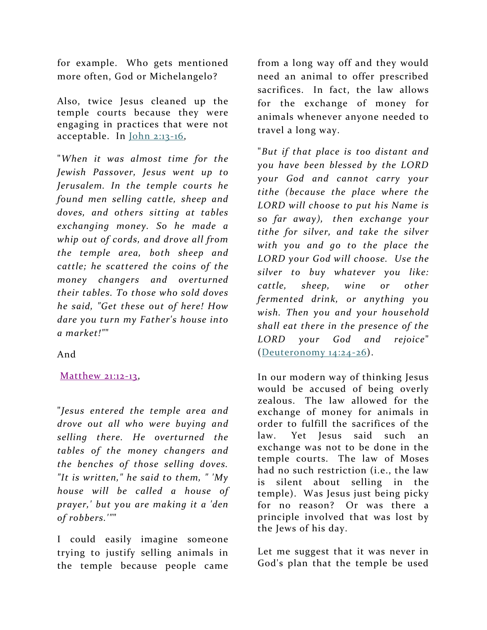for example. Who gets mentioned more often, God or Michelangelo?

Also, twice Jesus cleaned up the temple courts because they were engaging in practices that were not acceptable. In [John 2:13-16,](http://biblia.com/bible/nkjv/John%202.13-16)

"*When it was almost time for the Jewish Passover, Jesus went up to Jerusalem. In the temple courts he found men selling cattle, sheep and doves, and others sitting at tables exchanging money. So he made a whip out of cords, and drove all from the temple area, both sheep and cattle; he scattered the coins of the money changers and overturned their tables. To those who sold doves he said, "Get these out of here! How dare you turn my Father's house into a market!"*"

And

#### [Matthew 21:12-13,](http://biblia.com/bible/nkjv/Matthew%2021.12-13)

"*Jesus entered the temple area and drove out all who were buying and selling there. He overturned the tables of the money changers and the benches of those selling doves. "It is written," he said to them, " 'My house will be called a house of prayer,' but you are making it a 'den of robbers.'"*"

I could easily imagine someone trying to justify selling animals in the temple because people came

from a long way off and they would need an animal to offer prescribed sacrifices. In fact, the law allows for the exchange of money for animals whenever anyone needed to travel a long way.

"*But if that place is too distant and you have been blessed by the LORD your God and cannot carry your tithe (because the place where the LORD will choose to put his Name is so far away), then exchange your tithe for silver, and take the silver with you and go to the place the LORD your God will choose. Use the silver to buy whatever you like: cattle, sheep, wine or other fermented drink, or anything you wish. Then you and your household shall eat there in the presence of the LORD your God and rejoice*" [\(Deuteronomy 14:24-26\)](http://biblia.com/bible/nkjv/Deuteronomy%2014.24-26).

In our modern way of thinking Jesus would be accused of being overly zealous. The law allowed for the exchange of money for animals in order to fulfill the sacrifices of the law. Yet Jesus said such an exchange was not to be done in the temple courts. The law of Moses had no such restriction (i.e., the law is silent about selling in the temple). Was Jesus just being picky for no reason? Or was there a principle involved that was lost by the Jews of his day.

Let me suggest that it was never in God's plan that the temple be used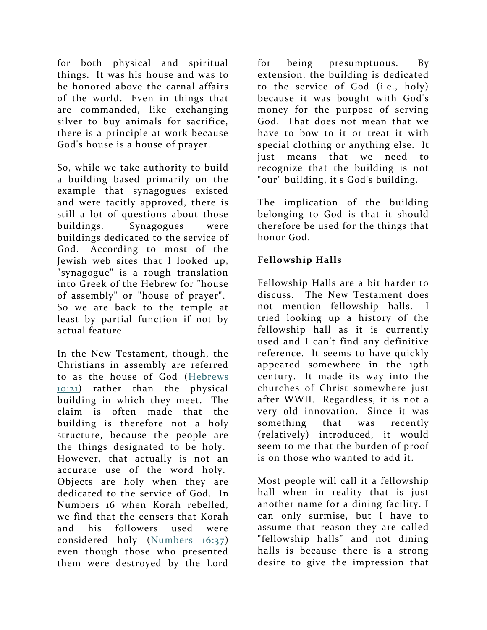for both physical and spiritual things. It was his house and was to be honored above the carnal affairs of the world. Even in things that are commanded, like exchanging silver to buy animals for sacrifice, there is a principle at work because God's house is a house of prayer.

So, while we take authority to build a building based primarily on the example that synagogues existed and were tacitly approved, there is still a lot of questions about those buildings. Synagogues were buildings dedicated to the service of God. According to most of the Jewish web sites that I looked up, "synagogue" is a rough translation into Greek of the Hebrew for "house of assembly" or "house of prayer". So we are back to the temple at least by partial function if not by actual feature.

In the New Testament, though, the Christians in assembly are referred to as the house of God [\(Hebrews](http://biblia.com/bible/nkjv/Hebrews%2010.21)  [10:21\)](http://biblia.com/bible/nkjv/Hebrews%2010.21) rather than the physical building in which they meet. The claim is often made that the building is therefore not a holy structure, because the people are the things designated to be holy. However, that actually is not an accurate use of the word holy. Objects are holy when they are dedicated to the service of God. In Numbers 16 when Korah rebelled, we find that the censers that Korah and his followers used were considered holy [\(Numbers 16:37\)](http://biblia.com/bible/nkjv/Numbers%2016.37) even though those who presented them were destroyed by the Lord

for being presumptuous. By extension, the building is dedicated to the service of God (i.e., holy) because it was bought with God's money for the purpose of serving God. That does not mean that we have to bow to it or treat it with special clothing or anything else. It just means that we need to recognize that the building is not "our" building, it's God's building.

The implication of the building belonging to God is that it should therefore be used for the things that honor God.

## **Fellowship Halls**

Fellowship Halls are a bit harder to discuss. The New Testament does not mention fellowship halls. tried looking up a history of the fellowship hall as it is currently used and I can't find any definitive reference. It seems to have quickly appeared somewhere in the 19th century. It made its way into the churches of Christ somewhere just after WWII. Regardless, it is not a very old innovation. Since it was something that was recently (relatively) introduced, it would seem to me that the burden of proof is on those who wanted to add it.

Most people will call it a fellowship hall when in reality that is just another name for a dining facility. I can only surmise, but I have to assume that reason they are called "fellowship halls" and not dining halls is because there is a strong desire to give the impression that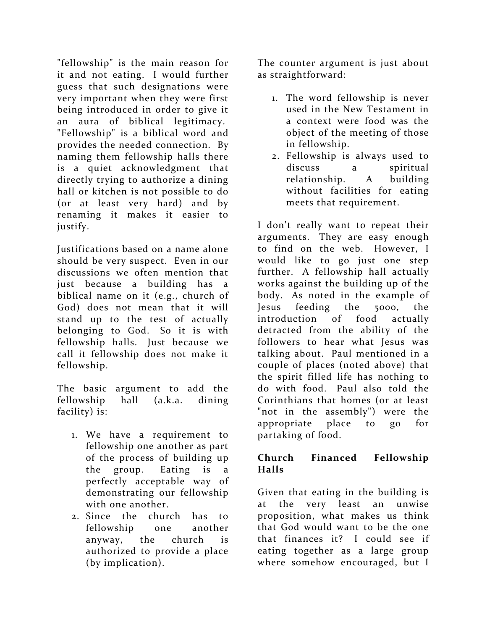"fellowship" is the main reason for it and not eating. I would further guess that such designations were very important when they were first being introduced in order to give it an aura of biblical legitimacy. "Fellowship" is a biblical word and provides the needed connection. By naming them fellowship halls there is a quiet acknowledgment that directly trying to authorize a dining hall or kitchen is not possible to do (or at least very hard) and by renaming it makes it easier to justify.

Justifications based on a name alone should be very suspect. Even in our discussions we often mention that just because a building has a biblical name on it (e.g., church of God) does not mean that it will stand up to the test of actually belonging to God. So it is with fellowship halls. Just because we call it fellowship does not make it fellowship.

The basic argument to add the fellowship hall (a.k.a. dining facility) is:

- 1. We have a requirement to fellowship one another as part of the process of building up the group. Eating is a perfectly acceptable way of demonstrating our fellowship with one another.
- 2. Since the church has to fellowship one another anyway, the church is authorized to provide a place (by implication).

The counter argument is just about as straightforward:

- 1. The word fellowship is never used in the New Testament in a context were food was the object of the meeting of those in fellowship.
- 2. Fellowship is always used to discuss a spiritual relationship. A building without facilities for eating meets that requirement.

I don't really want to repeat their arguments. They are easy enough to find on the web. However, I would like to go just one step further. A fellowship hall actually works against the building up of the body. As noted in the example of Jesus feeding the 5000, the introduction of food actually detracted from the ability of the followers to hear what Jesus was talking about. Paul mentioned in a couple of places (noted above) that the spirit filled life has nothing to do with food. Paul also told the Corinthians that homes (or at least "not in the assembly") were the appropriate place to go for partaking of food.

#### **Church Financed Fellowship Halls**

Given that eating in the building is at the very least an unwise proposition, what makes us think that God would want to be the one that finances it? I could see if eating together as a large group where somehow encouraged, but I